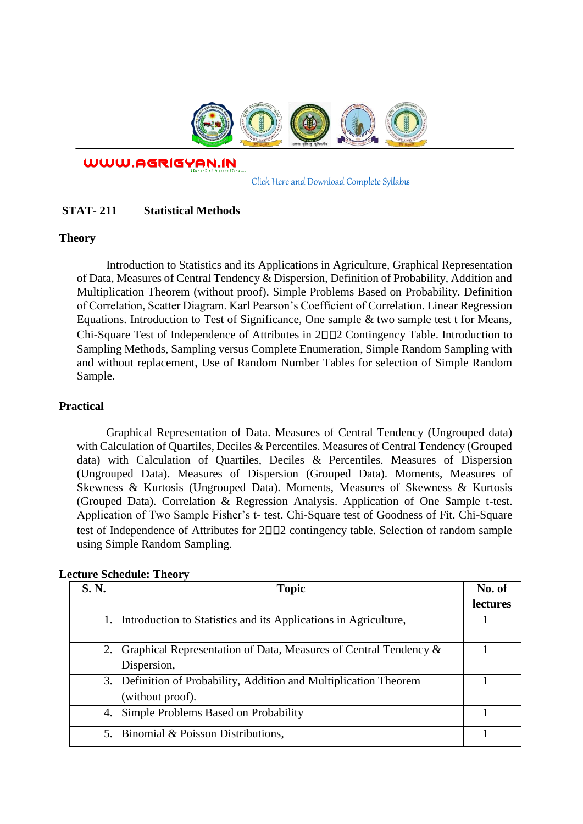

WWW.AGRIGYAN.IN

[Click Here and Download Complete Syllabus](http://agrigyan.in/)

## **STAT- 211 Statistical Methods**

#### **Theory**

 $\overline{a}$ 

Introduction to Statistics and its Applications in Agriculture, Graphical Representation of Data, Measures of Central Tendency & Dispersion, Definition of Probability, Addition and Multiplication Theorem (without proof). Simple Problems Based on Probability. Definition of Correlation, Scatter Diagram. Karl Pearson's Coefficient of Correlation. Linear Regression Equations. Introduction to Test of Significance, One sample & two sample test t for Means, Chi-Square Test of Independence of Attributes in 2002 Contingency Table. Introduction to Sampling Methods, Sampling versus Complete Enumeration, Simple Random Sampling with and without replacement, Use of Random Number Tables for selection of Simple Random Sample.

### **Practical**

Graphical Representation of Data. Measures of Central Tendency (Ungrouped data) with Calculation of Quartiles, Deciles & Percentiles. Measures of Central Tendency (Grouped data) with Calculation of Quartiles, Deciles & Percentiles. Measures of Dispersion (Ungrouped Data). Measures of Dispersion (Grouped Data). Moments, Measures of Skewness & Kurtosis (Ungrouped Data). Moments, Measures of Skewness & Kurtosis (Grouped Data). Correlation & Regression Analysis. Application of One Sample t-test. Application of Two Sample Fisher's t- test. Chi-Square test of Goodness of Fit. Chi-Square test of Independence of Attributes for  $2\Box\Box$ ? contingency table. Selection of random sample using Simple Random Sampling.

| S. N. | <b>Topic</b>                                                     | No. of          |
|-------|------------------------------------------------------------------|-----------------|
|       |                                                                  | <i>lectures</i> |
|       | Introduction to Statistics and its Applications in Agriculture,  |                 |
|       | Graphical Representation of Data, Measures of Central Tendency & |                 |
|       | Dispersion,                                                      |                 |
| 3.    | Definition of Probability, Addition and Multiplication Theorem   |                 |
|       | (without proof).                                                 |                 |
| 4.    | Simple Problems Based on Probability                             |                 |
| 5.    | Binomial & Poisson Distributions,                                |                 |

#### **Lecture Schedule: Theory**